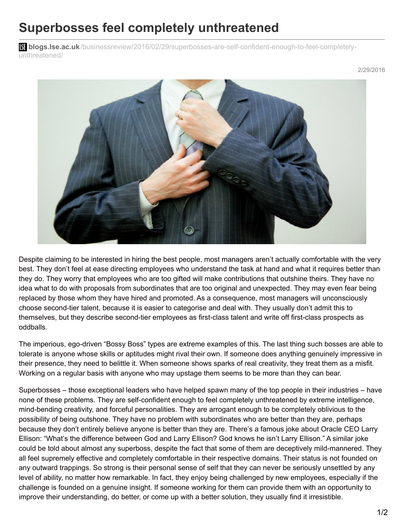## **Superbosses feel completely unthreatened**

**blistings.lse.ac.uk**[/businessreview/2016/02/29/superbosses-are-self-confident-enough-to-feel-completely](http://blogs.lse.ac.uk/businessreview/2016/02/29/superbosses-are-self-confident-enough-to-feel-completely-unthreatened/)unthreatened/



Despite claiming to be interested in hiring the best people, most managers aren't actually comfortable with the very best. They don't feel at ease directing employees who understand the task at hand and what it requires better than they do. They worry that employees who are too gifted will make contributions that outshine theirs. They have no idea what to do with proposals from subordinates that are too original and unexpected. They may even fear being replaced by those whom they have hired and promoted. As a consequence, most managers will unconsciously choose second-tier talent, because it is easier to categorise and deal with. They usually don't admit this to themselves, but they describe second-tier employees as first-class talent and write off first-class prospects as oddballs.

The imperious, ego-driven "Bossy Boss" types are extreme examples of this. The last thing such bosses are able to tolerate is anyone whose skills or aptitudes might rival their own. If someone does anything genuinely impressive in their presence, they need to belittle it. When someone shows sparks of real creativity, they treat them as a misfit. Working on a regular basis with anyone who may upstage them seems to be more than they can bear.

Superbosses – those exceptional leaders who have helped spawn many of the top people in their industries – have none of these problems. They are self-confident enough to feel completely unthreatened by extreme intelligence, mind-bending creativity, and forceful personalities. They are arrogant enough to be completely oblivious to the possibility of being outshone. They have no problem with subordinates who are better than they are, perhaps because they don't entirely believe anyone is better than they are. There's a famous joke about Oracle CEO Larry Ellison: "What's the difference between God and Larry Ellison? God knows he isn't Larry Ellison." A similar joke could be told about almost any superboss, despite the fact that some of them are deceptively mild-mannered. They all feel supremely effective and completely comfortable in their respective domains. Their status is not founded on any outward trappings. So strong is their personal sense of self that they can never be seriously unsettled by any level of ability, no matter how remarkable. In fact, they enjoy being challenged by new employees, especially if the challenge is founded on a genuine insight. If someone working for them can provide them with an opportunity to improve their understanding, do better, or come up with a better solution, they usually find it irresistible.